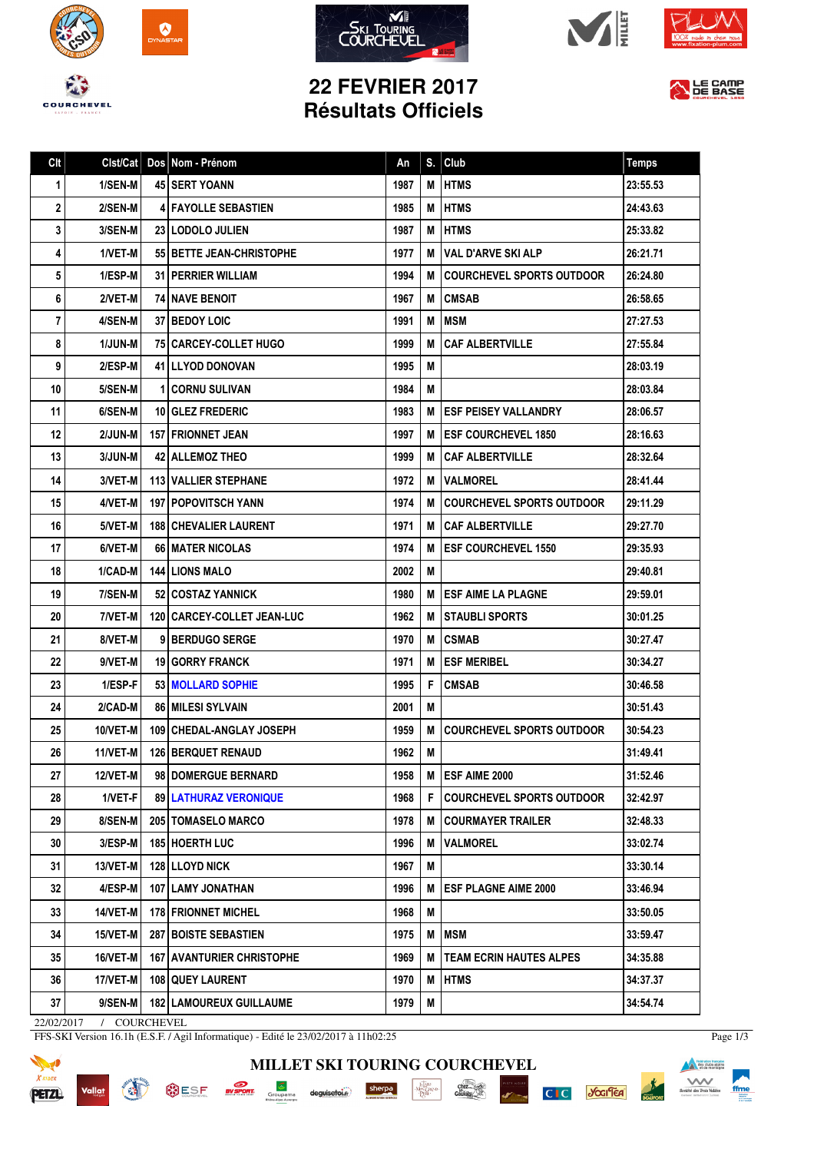









## **22 FEVRIER 2017 Résultats Officiels**



| Clt         | Clst/Cat       | Dos Nom - Prénom                   | An   | S. | Club                             | <b>Temps</b> |
|-------------|----------------|------------------------------------|------|----|----------------------------------|--------------|
| $\mathbf 1$ | 1/SEN-M        | <b>45 SERT YOANN</b>               | 1987 | М  | <b>IHTMS</b>                     | 23:55.53     |
| 2           | 2/SEN-M        | <b>4 FAYOLLE SEBASTIEN</b>         | 1985 | M  | <b>HTMS</b>                      | 24:43.63     |
| 3           | 3/SEN-M        | 23 LODOLO JULIEN                   | 1987 | M  | <b>HTMS</b>                      | 25:33.82     |
| 4           | 1/VET-M        | 55   BETTE JEAN-CHRISTOPHE         | 1977 | М  | VAL D'ARVE SKI ALP               | 26:21.71     |
| 5           | 1/ESP-M        | <b>31   PERRIER WILLIAM</b>        | 1994 | м  | COURCHEVEL SPORTS OUTDOOR        | 26:24.80     |
| 6           | 2/VET-M        | <b>74 I NAVE BENOIT</b>            | 1967 | М  | <b>CMSAB</b>                     | 26:58.65     |
| 7           | 4/SEN-M        | <b>37 I BEDOY LOIC</b>             | 1991 | M  | MSM                              | 27:27.53     |
| 8           | <b>1/JUN-M</b> | <b>751 CARCEY-COLLET HUGO</b>      | 1999 | M  | <b>CAF ALBERTVILLE</b>           | 27:55.84     |
| 9           | 2/ESP-M        | <b>41 I LLYOD DONOVAN</b>          | 1995 | M  |                                  | 28:03.19     |
| 10          | 5/SEN-M        | <b>11 CORNU SULIVAN</b>            | 1984 | М  |                                  | 28:03.84     |
| 11          | 6/SEN-M        | <b>10 GLEZ FREDERIC</b>            | 1983 | M  | <b>I ESF PEISEY VALLANDRY</b>    | 28:06.57     |
| 12          | 2/JUN-M        | <b>157   FRIONNET JEAN</b>         | 1997 |    | M <b>IESF COURCHEVEL 1850</b>    | 28:16.63     |
| 13          | $3/JUN-M$      | <b>42 ALLEMOZ THEO</b>             | 1999 | М  | <b>CAF ALBERTVILLE</b>           | 28:32.64     |
| 14          | 3/VET-M        | <b>113 I VALLIER STEPHANE</b>      | 1972 | м  | <b>IVALMOREL</b>                 | 28:41.44     |
| 15          | 4/VET-M        | <b>197   POPOVITSCH YANN</b>       | 1974 | М  | <b>COURCHEVEL SPORTS OUTDOOR</b> | 29:11.29     |
| 16          | 5/VET-M        | <b>188   CHEVALIER LAURENT</b>     | 1971 |    | <b>M ICAF ALBERTVILLE</b>        | 29:27.70     |
| 17          | 6/VET-M        | 66   MATER NICOLAS                 | 1974 | м  | <b>ESF COURCHEVEL 1550</b>       | 29:35.93     |
| 18          | 1/CAD-M        | <b>144 LIONS MALO</b>              | 2002 | М  |                                  | 29:40.81     |
| 19          | 7/SEN-M        | 52 COSTAZ YANNICK                  | 1980 | м  | <b>LESF AIME LA PLAGNE</b>       | 29:59.01     |
| 20          | 7/VET-M        | 120   CARCEY-COLLET JEAN-LUC       | 1962 | м  | I STAUBLI SPORTS                 | 30:01.25     |
| 21          | 8/VET-M        | 91BERDUGO SERGE                    | 1970 | м  | <b>CSMAB</b>                     | 30:27.47     |
| 22          | 9/VET-M        | <b>19 I GORRY FRANCK</b>           | 1971 | М  | <b>ESF MERIBEL</b>               | 30:34.27     |
| 23          | 1/ESP-F        | <b>53   MOLLARD SOPHIE</b>         | 1995 | F. | <b>CMSAB</b>                     | 30:46.58     |
| 24          | 2/CAD-M        | <b>86 MILESI SYLVAIN</b>           | 2001 | М  |                                  | 30:51.43     |
| 25          | 10/VET-M       | 109 CHEDAL-ANGLAY JOSEPH           | 1959 | м  | <b>COURCHEVEL SPORTS OUTDOOR</b> | 30:54.23     |
| 26          | 11/VET-M       | <b>126 BERQUET RENAUD</b>          | 1962 | м  |                                  | 31:49.41     |
| 27          | 12/VET-M       | 98 DOMERGUE BERNARD                | 1958 | M  | <b>ESF AIME 2000</b>             | 31:52.46     |
| 28          | 1/VET-F        | 89 LATHURAZ VERONIQUE              | 1968 | F. | <b>COURCHEVEL SPORTS OUTDOOR</b> | 32:42.97     |
| 29          | 8/SEN-M        | <b>205   TOMASELO MARCO</b>        | 1978 |    | <b>M   COURMAYER TRAILER</b>     | 32:48.33     |
| 30          | $3/ESP-M$      | 185 HOERTH LUC                     | 1996 | М  | <b>IVALMOREL</b>                 | 33:02.74     |
| 31          | 13/VET-M       | <b>128 LLOYD NICK</b>              | 1967 | М  |                                  | 33:30.14     |
| 32          | 4/ESP-M        | 107   LAMY JONATHAN                | 1996 | м  | <b>IESF PLAGNE AIME 2000</b>     | 33:46.94     |
| 33          | 14/VET-M       | 178 FRIONNET MICHEL                | 1968 | М  |                                  | 33:50.05     |
| 34          | 15/VET-M       | <b>287 BOISTE SEBASTIEN</b>        | 1975 | М  | <b>MSM</b>                       | 33:59.47     |
| 35          | 16/VET-M       | <b>167   AVANTURIER CHRISTOPHE</b> | 1969 | м  | TEAM ECRIN HAUTES ALPES          | 34:35.88     |
| 36          | 17/VET-M       | 108   QUEY LAURENT                 | 1970 | М  | <b>HTMS</b>                      | 34:37.37     |
| 37          | 9/SEN-M        | <b>182   LAMOUREUX GUILLAUME</b>   | 1979 | M  |                                  | 34:54.74     |

**MILLET SKI TOURING COURCHEVEL**

 $\cdot \underbrace{ \underset{P \in \mathbf{R}^1}{\underset{P \in \mathbf{R}^1}{\underset{P \in \mathbf{R}^1}{\underset{P \in \mathbf{R}^2}{\underset{P \in \mathbf{R}^2}}}}}_{\text{Max}}$ 

sherpa

 $\begin{minipage}{.4\linewidth} \textbf{deguise} \begin{tabular}{l} \textbf{to} \end{tabular} \end{minipage}$ 

 $\frac{\text{chez}}{\text{Caulolig}}$ 

**PISTE NOIRE** 

C C Josifica

22/02/2017 / COURCHEVEL

Vallat

**READ** 

FFS-SKI Version 16.1h (E.S.F. / Agil Informatique) - Edité le 23/02/2017 à 11h02:25

**OUTSE EXPORT** Groupama



Page 1/3

**Execution franceire**<br> **Execution des clubs alpins**<br> **Execution de montagne**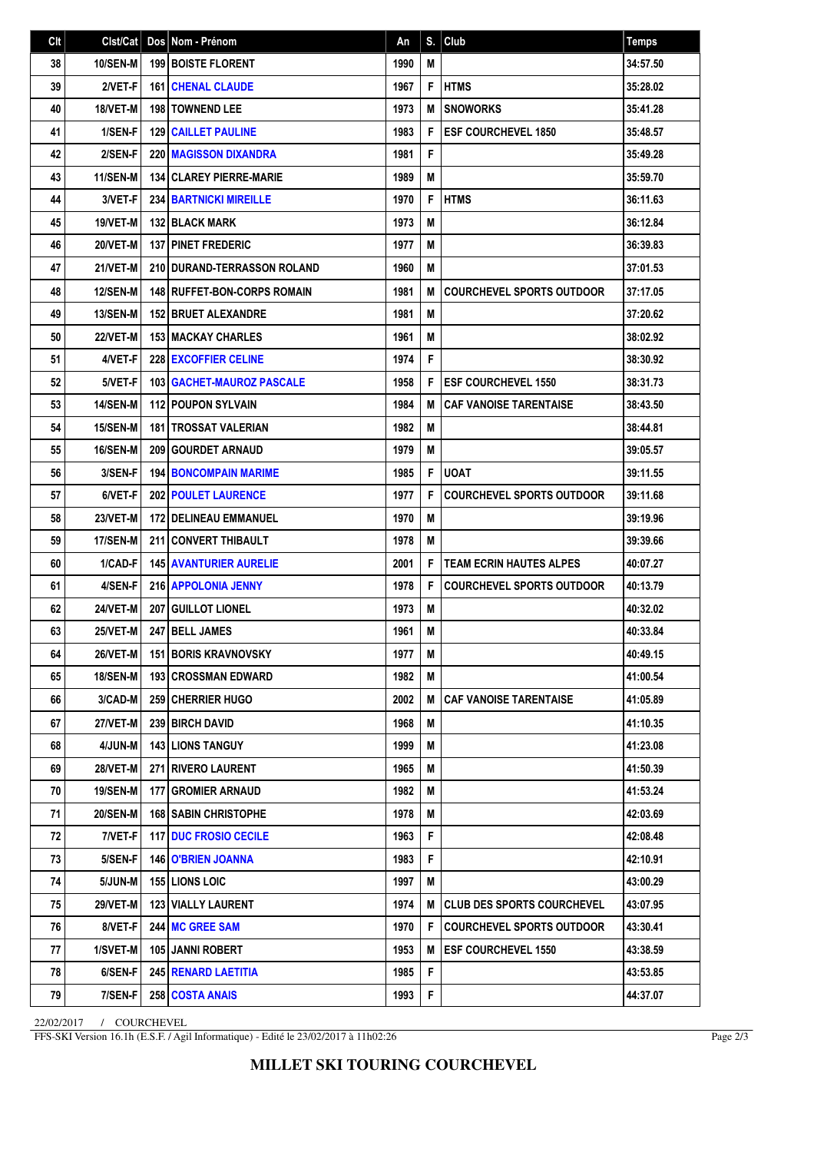| Clt | Clst/Cat        | Dos Nom - Prénom                     | An   | S. | Club                              | <b>Temps</b> |
|-----|-----------------|--------------------------------------|------|----|-----------------------------------|--------------|
| 38  | <b>10/SEN-M</b> | <b>199 BOISTE FLORENT</b>            | 1990 | M  |                                   | 34:57.50     |
| 39  | 2/VET-F         | <b>161 CHENAL CLAUDE</b>             | 1967 | F  | <b>HTMS</b>                       | 35:28.02     |
| 40  | 18/VET-M        | <b>198 TOWNEND LEE</b>               | 1973 | M  | <b>SNOWORKS</b>                   | 35:41.28     |
| 41  | 1/SEN-F         | <b>129 CAILLET PAULINE</b>           | 1983 | F  | <b>ESF COURCHEVEL 1850</b>        | 35:48.57     |
| 42  | 2/SEN-F         | <b>220 MAGISSON DIXANDRA</b>         | 1981 | F  |                                   | 35:49.28     |
| 43  | <b>11/SEN-M</b> | <b>134   CLAREY PIERRE-MARIE</b>     | 1989 | M  |                                   | 35:59.70     |
| 44  | 3/VET-F         | <b>234 BARTNICKI MIREILLE</b>        | 1970 | F  | <b>HTMS</b>                       | 36:11.63     |
| 45  | 19/VET-M        | <b>132 BLACK MARK</b>                | 1973 | M  |                                   | 36:12.84     |
| 46  | 20/VET-M        | <b>137 PINET FREDERIC</b>            | 1977 | M  |                                   | 36:39.83     |
| 47  | 21/VET-M        | 210 DURAND-TERRASSON ROLAND          | 1960 | M  |                                   | 37:01.53     |
| 48  | <b>12/SEN-M</b> | <b>148   RUFFET-BON-CORPS ROMAIN</b> | 1981 | M  | <b>COURCHEVEL SPORTS OUTDOOR</b>  | 37:17.05     |
| 49  | <b>13/SEN-M</b> | <b>152 BRUET ALEXANDRE</b>           | 1981 | M  |                                   | 37:20.62     |
| 50  | 22/VET-M        | <b>153 MACKAY CHARLES</b>            | 1961 | M  |                                   | 38:02.92     |
| 51  | 4/VET-F         | <b>228 EXCOFFIER CELINE</b>          | 1974 | F  |                                   | 38:30.92     |
| 52  | 5/VET-F         | <b>103   GACHET-MAUROZ PASCALE</b>   | 1958 | F  | <b>ESF COURCHEVEL 1550</b>        | 38:31.73     |
| 53  | <b>14/SEN-M</b> | 112 POUPON SYLVAIN                   | 1984 | M  | <b>CAF VANOISE TARENTAISE</b>     | 38:43.50     |
| 54  | 15/SEN-M        | <b>181 ITROSSAT VALERIAN</b>         | 1982 | M  |                                   | 38:44.81     |
| 55  | <b>16/SEN-M</b> | 209 GOURDET ARNAUD                   | 1979 | M  |                                   | 39:05.57     |
| 56  | 3/SEN-F         | <b>194 BONCOMPAIN MARIME</b>         | 1985 | F  | <b>UOAT</b>                       | 39:11.55     |
| 57  | 6/VET-F         | <b>202 POULET LAURENCE</b>           | 1977 | F  | <b>COURCHEVEL SPORTS OUTDOOR</b>  | 39:11.68     |
| 58  | 23/VET-M        | <b>172 I DELINEAU EMMANUEL</b>       | 1970 | M  |                                   | 39:19.96     |
| 59  | 17/SEN-M        | 211 CONVERT THIBAULT                 | 1978 | M  |                                   | 39:39.66     |
| 60  | 1/CAD-F         | <b>145 AVANTURIER AURELIE</b>        | 2001 | F  | <b>TEAM ECRIN HAUTES ALPES</b>    | 40:07.27     |
| 61  | 4/SEN-F         | 216 APPOLONIA JENNY                  | 1978 | F  | <b>COURCHEVEL SPORTS OUTDOOR</b>  | 40:13.79     |
| 62  | <b>24/VET-M</b> | <b>207 GUILLOT LIONEL</b>            | 1973 | M  |                                   | 40:32.02     |
| 63  | 25/VET-M        | 247 BELL JAMES                       | 1961 | M  |                                   | 40:33.84     |
| 64  | 26/VET-M        | <b>151 BORIS KRAVNOVSKY</b>          | 1977 | Μ  |                                   | 40:49.15     |
| 65  | <b>18/SEN-M</b> | <b>1931CROSSMAN EDWARD</b>           | 1982 | М  |                                   | 41:00.54     |
| 66  | 3/CAD-M         | <b>259 CHERRIER HUGO</b>             | 2002 | M  | <b>CAF VANOISE TARENTAISE</b>     | 41:05.89     |
| 67  | 27/VET-M        | 239 BIRCH DAVID                      | 1968 | M  |                                   | 41:10.35     |
| 68  | 4/JUN-M         | <b>143 LIONS TANGUY</b>              | 1999 | M  |                                   | 41:23.08     |
| 69  | 28/VET-M        | <b>271 RIVERO LAURENT</b>            | 1965 | M  |                                   | 41:50.39     |
| 70  | 19/SEN-M        | 177   GROMIER ARNAUD                 | 1982 | M  |                                   | 41:53.24     |
| 71  | <b>20/SEN-M</b> | <b>168 SABIN CHRISTOPHE</b>          | 1978 | Μ  |                                   | 42:03.69     |
| 72  | 7/VET-F         | <b>117 DUC FROSIO CECILE</b>         | 1963 | F  |                                   | 42:08.48     |
| 73  | 5/SEN-F         | <b>146   O'BRIEN JOANNA</b>          | 1983 | F  |                                   | 42:10.91     |
| 74  | 5/JUN-M         | <b>155 LIONS LOIC</b>                | 1997 | M  |                                   | 43:00.29     |
| 75  | <b>29/VET-M</b> | <b>123 VIALLY LAURENT</b>            | 1974 | Μ  | <b>CLUB DES SPORTS COURCHEVEL</b> | 43:07.95     |
| 76  | 8/VET-F         | 244 MC GREE SAM                      | 1970 | F  | <b>COURCHEVEL SPORTS OUTDOOR</b>  | 43:30.41     |
| 77  | 1/SVET-M        | <b>105 JANNI ROBERT</b>              | 1953 | M  | <b>ESF COURCHEVEL 1550</b>        | 43:38.59     |
| 78  | 6/SEN-F         | 245 RENARD LAETITIA                  | 1985 | F  |                                   | 43:53.85     |
| 79  | 7/SEN-F         | 258 COSTA ANAIS                      | 1993 | F  |                                   | 44:37.07     |

22/02/2017 / COURCHEVEL

FFS-SKI Version 16.1h (E.S.F. / Agil Informatique) - Edité le 23/02/2017 à 11h02:26

Page 2/3